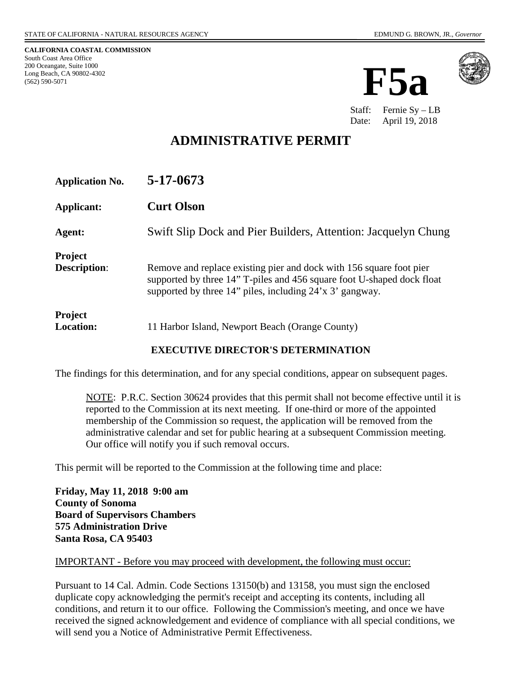**CALIFORNIA COASTAL COMMISSION** South Coast Area Office 200 Oceangate, Suite 1000 Long Beach, CA 90802-4302 (562) 590-5071





Staff: Fernie Sy – LB Date: April 19, 2018

# **ADMINISTRATIVE PERMIT**

| <b>Application No.</b>                | 5-17-0673                                                                                                                                                                                                 |
|---------------------------------------|-----------------------------------------------------------------------------------------------------------------------------------------------------------------------------------------------------------|
| Applicant:                            | <b>Curt Olson</b>                                                                                                                                                                                         |
| Agent:                                | Swift Slip Dock and Pier Builders, Attention: Jacquelyn Chung                                                                                                                                             |
| <b>Project</b><br><b>Description:</b> | Remove and replace existing pier and dock with 156 square foot pier<br>supported by three 14" T-piles and 456 square foot U-shaped dock float<br>supported by three 14" piles, including 24'x 3' gangway. |
| <b>Project</b><br><b>Location:</b>    | 11 Harbor Island, Newport Beach (Orange County)                                                                                                                                                           |

#### **EXECUTIVE DIRECTOR'S DETERMINATION**

The findings for this determination, and for any special conditions, appear on subsequent pages.

NOTE: P.R.C. Section 30624 provides that this permit shall not become effective until it is reported to the Commission at its next meeting. If one-third or more of the appointed membership of the Commission so request, the application will be removed from the administrative calendar and set for public hearing at a subsequent Commission meeting. Our office will notify you if such removal occurs.

This permit will be reported to the Commission at the following time and place:

**Friday, May 11, 2018 9:00 am County of Sonoma Board of Supervisors Chambers 575 Administration Drive Santa Rosa, CA 95403** 

#### IMPORTANT - Before you may proceed with development, the following must occur:

Pursuant to 14 Cal. Admin. Code Sections 13150(b) and 13158, you must sign the enclosed duplicate copy acknowledging the permit's receipt and accepting its contents, including all conditions, and return it to our office. Following the Commission's meeting, and once we have received the signed acknowledgement and evidence of compliance with all special conditions, we will send you a Notice of Administrative Permit Effectiveness.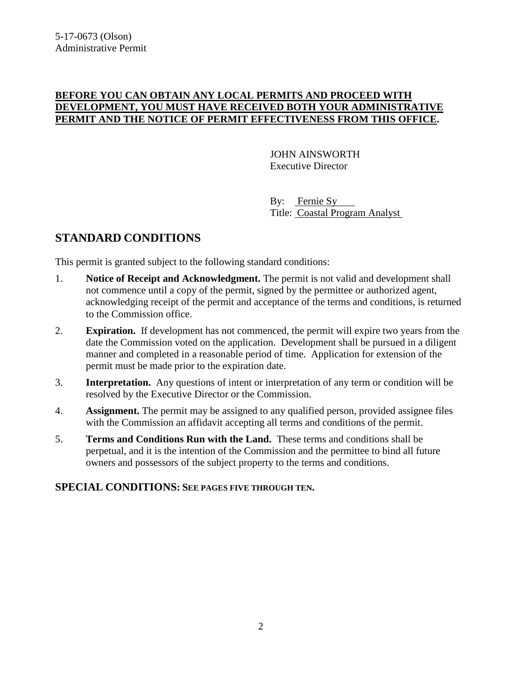### **BEFORE YOU CAN OBTAIN ANY LOCAL PERMITS AND PROCEED WITH DEVELOPMENT, YOU MUST HAVE RECEIVED BOTH YOUR ADMINISTRATIVE PERMIT AND THE NOTICE OF PERMIT EFFECTIVENESS FROM THIS OFFICE.**

 JOHN AINSWORTH Executive Director

 By: Fernie Sy Title: Coastal Program Analyst

# **STANDARD CONDITIONS**

This permit is granted subject to the following standard conditions:

- 1. **Notice of Receipt and Acknowledgment.** The permit is not valid and development shall not commence until a copy of the permit, signed by the permittee or authorized agent, acknowledging receipt of the permit and acceptance of the terms and conditions, is returned to the Commission office.
- 2. **Expiration.** If development has not commenced, the permit will expire two years from the date the Commission voted on the application. Development shall be pursued in a diligent manner and completed in a reasonable period of time. Application for extension of the permit must be made prior to the expiration date.
- 3. **Interpretation.** Any questions of intent or interpretation of any term or condition will be resolved by the Executive Director or the Commission.
- 4. **Assignment.** The permit may be assigned to any qualified person, provided assignee files with the Commission an affidavit accepting all terms and conditions of the permit.
- 5. **Terms and Conditions Run with the Land.** These terms and conditions shall be perpetual, and it is the intention of the Commission and the permittee to bind all future owners and possessors of the subject property to the terms and conditions.

### **SPECIAL CONDITIONS: SEE PAGES FIVE THROUGH TEN.**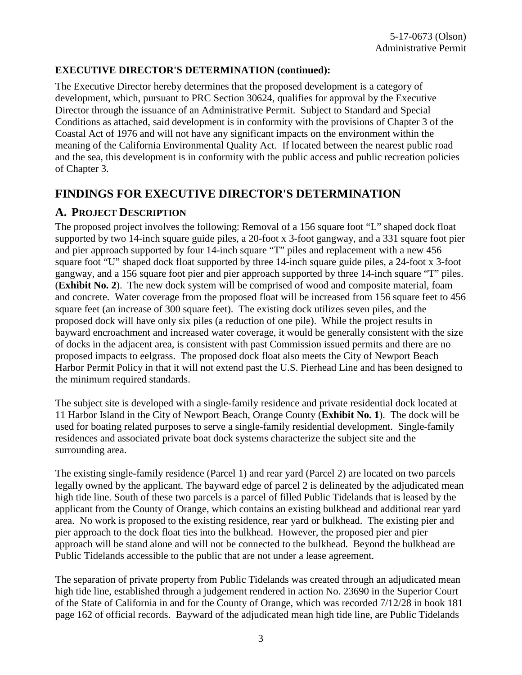### **EXECUTIVE DIRECTOR'S DETERMINATION (continued):**

The Executive Director hereby determines that the proposed development is a category of development, which, pursuant to PRC Section 30624, qualifies for approval by the Executive Director through the issuance of an Administrative Permit. Subject to Standard and Special Conditions as attached, said development is in conformity with the provisions of Chapter 3 of the Coastal Act of 1976 and will not have any significant impacts on the environment within the meaning of the California Environmental Quality Act. If located between the nearest public road and the sea, this development is in conformity with the public access and public recreation policies of Chapter 3.

# **FINDINGS FOR EXECUTIVE DIRECTOR'S DETERMINATION**

### **A. PROJECT DESCRIPTION**

The proposed project involves the following: Removal of a 156 square foot "L" shaped dock float supported by two 14-inch square guide piles, a 20-foot x 3-foot gangway, and a 331 square foot pier and pier approach supported by four 14-inch square "T" piles and replacement with a new 456 square foot "U" shaped dock float supported by three 14-inch square guide piles, a 24-foot x 3-foot gangway, and a 156 square foot pier and pier approach supported by three 14-inch square "T" piles. (**Exhibit No. 2**). The new dock system will be comprised of wood and composite material, foam and concrete. Water coverage from the proposed float will be increased from 156 square feet to 456 square feet (an increase of 300 square feet). The existing dock utilizes seven piles, and the proposed dock will have only six piles (a reduction of one pile). While the project results in bayward encroachment and increased water coverage, it would be generally consistent with the size of docks in the adjacent area, is consistent with past Commission issued permits and there are no proposed impacts to eelgrass. The proposed dock float also meets the City of Newport Beach Harbor Permit Policy in that it will not extend past the U.S. Pierhead Line and has been designed to the minimum required standards.

The subject site is developed with a single-family residence and private residential dock located at 11 Harbor Island in the City of Newport Beach, Orange County (**Exhibit No. 1**). The dock will be used for boating related purposes to serve a single-family residential development. Single-family residences and associated private boat dock systems characterize the subject site and the surrounding area.

The existing single-family residence (Parcel 1) and rear yard (Parcel 2) are located on two parcels legally owned by the applicant. The bayward edge of parcel 2 is delineated by the adjudicated mean high tide line. South of these two parcels is a parcel of filled Public Tidelands that is leased by the applicant from the County of Orange, which contains an existing bulkhead and additional rear yard area. No work is proposed to the existing residence, rear yard or bulkhead. The existing pier and pier approach to the dock float ties into the bulkhead. However, the proposed pier and pier approach will be stand alone and will not be connected to the bulkhead. Beyond the bulkhead are Public Tidelands accessible to the public that are not under a lease agreement.

The separation of private property from Public Tidelands was created through an adjudicated mean high tide line, established through a judgement rendered in action No. 23690 in the Superior Court of the State of California in and for the County of Orange, which was recorded 7/12/28 in book 181 page 162 of official records. Bayward of the adjudicated mean high tide line, are Public Tidelands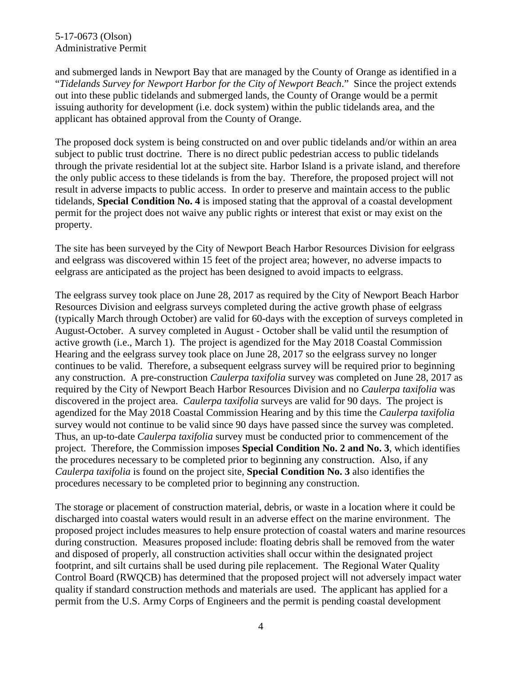#### 5-17-0673 (Olson) Administrative Permit

and submerged lands in Newport Bay that are managed by the County of Orange as identified in a "*Tidelands Survey for Newport Harbor for the City of Newport Beach*." Since the project extends out into these public tidelands and submerged lands, the County of Orange would be a permit issuing authority for development (i.e. dock system) within the public tidelands area, and the applicant has obtained approval from the County of Orange.

The proposed dock system is being constructed on and over public tidelands and/or within an area subject to public trust doctrine. There is no direct public pedestrian access to public tidelands through the private residential lot at the subject site. Harbor Island is a private island, and therefore the only public access to these tidelands is from the bay. Therefore, the proposed project will not result in adverse impacts to public access. In order to preserve and maintain access to the public tidelands, **Special Condition No. 4** is imposed stating that the approval of a coastal development permit for the project does not waive any public rights or interest that exist or may exist on the property.

The site has been surveyed by the City of Newport Beach Harbor Resources Division for eelgrass and eelgrass was discovered within 15 feet of the project area; however, no adverse impacts to eelgrass are anticipated as the project has been designed to avoid impacts to eelgrass.

The eelgrass survey took place on June 28, 2017 as required by the City of Newport Beach Harbor Resources Division and eelgrass surveys completed during the active growth phase of eelgrass (typically March through October) are valid for 60-days with the exception of surveys completed in August-October. A survey completed in August - October shall be valid until the resumption of active growth (i.e., March 1). The project is agendized for the May 2018 Coastal Commission Hearing and the eelgrass survey took place on June 28, 2017 so the eelgrass survey no longer continues to be valid. Therefore, a subsequent eelgrass survey will be required prior to beginning any construction. A pre-construction *Caulerpa taxifolia* survey was completed on June 28, 2017 as required by the City of Newport Beach Harbor Resources Division and no *Caulerpa taxifolia* was discovered in the project area. *Caulerpa taxifolia* surveys are valid for 90 days. The project is agendized for the May 2018 Coastal Commission Hearing and by this time the *Caulerpa taxifolia* survey would not continue to be valid since 90 days have passed since the survey was completed. Thus, an up-to-date *Caulerpa taxifolia* survey must be conducted prior to commencement of the project. Therefore, the Commission imposes **Special Condition No. 2 and No. 3**, which identifies the procedures necessary to be completed prior to beginning any construction. Also, if any *Caulerpa taxifolia* is found on the project site, **Special Condition No. 3** also identifies the procedures necessary to be completed prior to beginning any construction.

The storage or placement of construction material, debris, or waste in a location where it could be discharged into coastal waters would result in an adverse effect on the marine environment. The proposed project includes measures to help ensure protection of coastal waters and marine resources during construction. Measures proposed include: floating debris shall be removed from the water and disposed of properly, all construction activities shall occur within the designated project footprint, and silt curtains shall be used during pile replacement. The Regional Water Quality Control Board (RWQCB) has determined that the proposed project will not adversely impact water quality if standard construction methods and materials are used. The applicant has applied for a permit from the U.S. Army Corps of Engineers and the permit is pending coastal development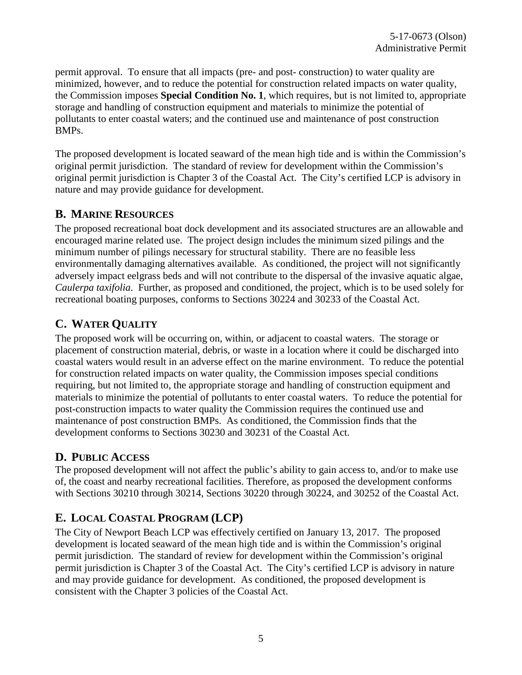permit approval. To ensure that all impacts (pre- and post- construction) to water quality are minimized, however, and to reduce the potential for construction related impacts on water quality, the Commission imposes **Special Condition No. 1**, which requires, but is not limited to, appropriate storage and handling of construction equipment and materials to minimize the potential of pollutants to enter coastal waters; and the continued use and maintenance of post construction BMPs.

The proposed development is located seaward of the mean high tide and is within the Commission's original permit jurisdiction. The standard of review for development within the Commission's original permit jurisdiction is Chapter 3 of the Coastal Act. The City's certified LCP is advisory in nature and may provide guidance for development.

### **B. MARINE RESOURCES**

The proposed recreational boat dock development and its associated structures are an allowable and encouraged marine related use. The project design includes the minimum sized pilings and the minimum number of pilings necessary for structural stability. There are no feasible less environmentally damaging alternatives available. As conditioned, the project will not significantly adversely impact eelgrass beds and will not contribute to the dispersal of the invasive aquatic algae, *Caulerpa taxifolia*. Further, as proposed and conditioned, the project, which is to be used solely for recreational boating purposes, conforms to Sections 30224 and 30233 of the Coastal Act.

### **C. WATER QUALITY**

The proposed work will be occurring on, within, or adjacent to coastal waters. The storage or placement of construction material, debris, or waste in a location where it could be discharged into coastal waters would result in an adverse effect on the marine environment. To reduce the potential for construction related impacts on water quality, the Commission imposes special conditions requiring, but not limited to, the appropriate storage and handling of construction equipment and materials to minimize the potential of pollutants to enter coastal waters. To reduce the potential for post-construction impacts to water quality the Commission requires the continued use and maintenance of post construction BMPs. As conditioned, the Commission finds that the development conforms to Sections 30230 and 30231 of the Coastal Act.

### **D. PUBLIC ACCESS**

The proposed development will not affect the public's ability to gain access to, and/or to make use of, the coast and nearby recreational facilities. Therefore, as proposed the development conforms with Sections 30210 through 30214, Sections 30220 through 30224, and 30252 of the Coastal Act.

# **E. LOCAL COASTAL PROGRAM (LCP)**

The City of Newport Beach LCP was effectively certified on January 13, 2017. The proposed development is located seaward of the mean high tide and is within the Commission's original permit jurisdiction. The standard of review for development within the Commission's original permit jurisdiction is Chapter 3 of the Coastal Act. The City's certified LCP is advisory in nature and may provide guidance for development. As conditioned, the proposed development is consistent with the Chapter 3 policies of the Coastal Act.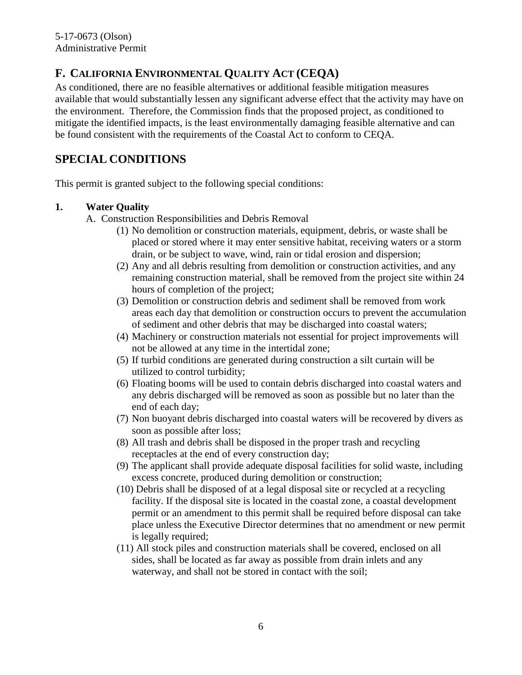# **F. CALIFORNIA ENVIRONMENTAL QUALITY ACT (CEQA)**

As conditioned, there are no feasible alternatives or additional feasible mitigation measures available that would substantially lessen any significant adverse effect that the activity may have on the environment. Therefore, the Commission finds that the proposed project, as conditioned to mitigate the identified impacts, is the least environmentally damaging feasible alternative and can be found consistent with the requirements of the Coastal Act to conform to CEQA.

# **SPECIAL CONDITIONS**

This permit is granted subject to the following special conditions:

### **1. Water Quality**

- A. Construction Responsibilities and Debris Removal
	- (1) No demolition or construction materials, equipment, debris, or waste shall be placed or stored where it may enter sensitive habitat, receiving waters or a storm drain, or be subject to wave, wind, rain or tidal erosion and dispersion;
	- (2) Any and all debris resulting from demolition or construction activities, and any remaining construction material, shall be removed from the project site within 24 hours of completion of the project;
	- (3) Demolition or construction debris and sediment shall be removed from work areas each day that demolition or construction occurs to prevent the accumulation of sediment and other debris that may be discharged into coastal waters;
	- (4) Machinery or construction materials not essential for project improvements will not be allowed at any time in the intertidal zone;
	- (5) If turbid conditions are generated during construction a silt curtain will be utilized to control turbidity;
	- (6) Floating booms will be used to contain debris discharged into coastal waters and any debris discharged will be removed as soon as possible but no later than the end of each day;
	- (7) Non buoyant debris discharged into coastal waters will be recovered by divers as soon as possible after loss;
	- (8) All trash and debris shall be disposed in the proper trash and recycling receptacles at the end of every construction day;
	- (9) The applicant shall provide adequate disposal facilities for solid waste, including excess concrete, produced during demolition or construction;
	- (10) Debris shall be disposed of at a legal disposal site or recycled at a recycling facility. If the disposal site is located in the coastal zone, a coastal development permit or an amendment to this permit shall be required before disposal can take place unless the Executive Director determines that no amendment or new permit is legally required;
	- (11) All stock piles and construction materials shall be covered, enclosed on all sides, shall be located as far away as possible from drain inlets and any waterway, and shall not be stored in contact with the soil;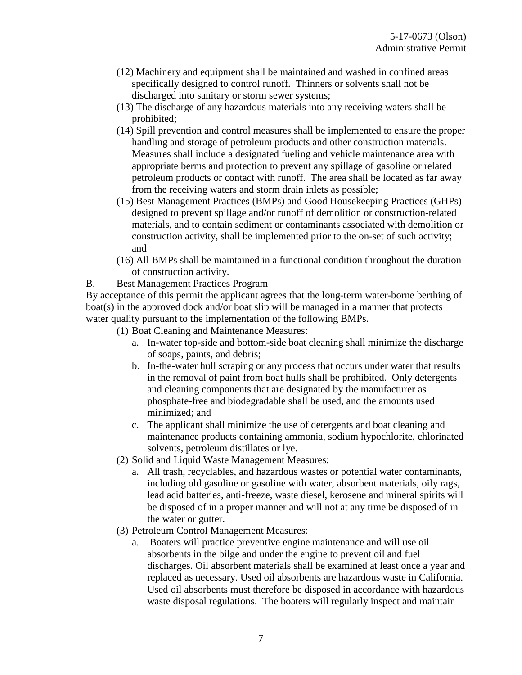- (12) Machinery and equipment shall be maintained and washed in confined areas specifically designed to control runoff. Thinners or solvents shall not be discharged into sanitary or storm sewer systems;
- (13) The discharge of any hazardous materials into any receiving waters shall be prohibited;
- (14) Spill prevention and control measures shall be implemented to ensure the proper handling and storage of petroleum products and other construction materials. Measures shall include a designated fueling and vehicle maintenance area with appropriate berms and protection to prevent any spillage of gasoline or related petroleum products or contact with runoff. The area shall be located as far away from the receiving waters and storm drain inlets as possible;
- (15) Best Management Practices (BMPs) and Good Housekeeping Practices (GHPs) designed to prevent spillage and/or runoff of demolition or construction-related materials, and to contain sediment or contaminants associated with demolition or construction activity, shall be implemented prior to the on-set of such activity; and
- (16) All BMPs shall be maintained in a functional condition throughout the duration of construction activity.
- B. Best Management Practices Program

By acceptance of this permit the applicant agrees that the long-term water-borne berthing of boat(s) in the approved dock and/or boat slip will be managed in a manner that protects water quality pursuant to the implementation of the following BMPs.

- (1) Boat Cleaning and Maintenance Measures:
	- a. In-water top-side and bottom-side boat cleaning shall minimize the discharge of soaps, paints, and debris;
	- b. In-the-water hull scraping or any process that occurs under water that results in the removal of paint from boat hulls shall be prohibited. Only detergents and cleaning components that are designated by the manufacturer as phosphate-free and biodegradable shall be used, and the amounts used minimized; and
	- c. The applicant shall minimize the use of detergents and boat cleaning and maintenance products containing ammonia, sodium hypochlorite, chlorinated solvents, petroleum distillates or lye.
- (2) Solid and Liquid Waste Management Measures:
	- a. All trash, recyclables, and hazardous wastes or potential water contaminants, including old gasoline or gasoline with water, absorbent materials, oily rags, lead acid batteries, anti-freeze, waste diesel, kerosene and mineral spirits will be disposed of in a proper manner and will not at any time be disposed of in the water or gutter.
- (3) Petroleum Control Management Measures:
	- a. Boaters will practice preventive engine maintenance and will use oil absorbents in the bilge and under the engine to prevent oil and fuel discharges. Oil absorbent materials shall be examined at least once a year and replaced as necessary. Used oil absorbents are hazardous waste in California. Used oil absorbents must therefore be disposed in accordance with hazardous waste disposal regulations. The boaters will regularly inspect and maintain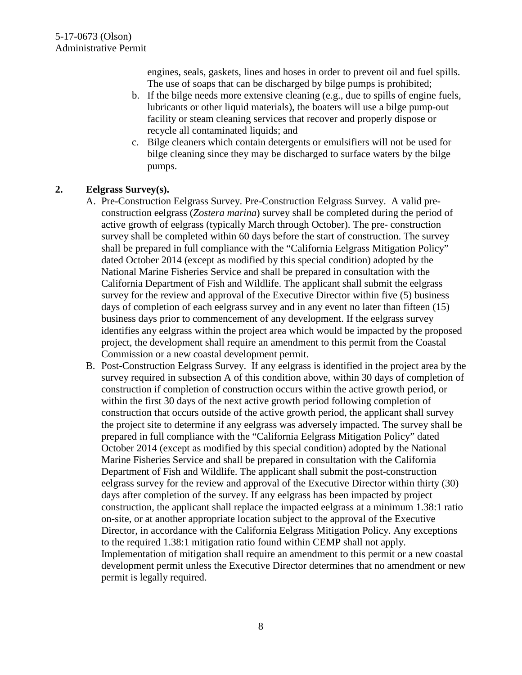engines, seals, gaskets, lines and hoses in order to prevent oil and fuel spills. The use of soaps that can be discharged by bilge pumps is prohibited;

- b. If the bilge needs more extensive cleaning (e.g., due to spills of engine fuels, lubricants or other liquid materials), the boaters will use a bilge pump-out facility or steam cleaning services that recover and properly dispose or recycle all contaminated liquids; and
- c. Bilge cleaners which contain detergents or emulsifiers will not be used for bilge cleaning since they may be discharged to surface waters by the bilge pumps.

#### **2. Eelgrass Survey(s).**

- A. Pre-Construction Eelgrass Survey. Pre-Construction Eelgrass Survey. A valid preconstruction eelgrass (*Zostera marina*) survey shall be completed during the period of active growth of eelgrass (typically March through October). The pre- construction survey shall be completed within 60 days before the start of construction. The survey shall be prepared in full compliance with the "California Eelgrass Mitigation Policy" dated October 2014 (except as modified by this special condition) adopted by the National Marine Fisheries Service and shall be prepared in consultation with the California Department of Fish and Wildlife. The applicant shall submit the eelgrass survey for the review and approval of the Executive Director within five (5) business days of completion of each eelgrass survey and in any event no later than fifteen (15) business days prior to commencement of any development. If the eelgrass survey identifies any eelgrass within the project area which would be impacted by the proposed project, the development shall require an amendment to this permit from the Coastal Commission or a new coastal development permit.
- B. Post-Construction Eelgrass Survey. If any eelgrass is identified in the project area by the survey required in subsection A of this condition above, within 30 days of completion of construction if completion of construction occurs within the active growth period, or within the first 30 days of the next active growth period following completion of construction that occurs outside of the active growth period, the applicant shall survey the project site to determine if any eelgrass was adversely impacted. The survey shall be prepared in full compliance with the "California Eelgrass Mitigation Policy" dated October 2014 (except as modified by this special condition) adopted by the National Marine Fisheries Service and shall be prepared in consultation with the California Department of Fish and Wildlife. The applicant shall submit the post-construction eelgrass survey for the review and approval of the Executive Director within thirty (30) days after completion of the survey. If any eelgrass has been impacted by project construction, the applicant shall replace the impacted eelgrass at a minimum 1.38:1 ratio on-site, or at another appropriate location subject to the approval of the Executive Director, in accordance with the California Eelgrass Mitigation Policy. Any exceptions to the required 1.38:1 mitigation ratio found within CEMP shall not apply. Implementation of mitigation shall require an amendment to this permit or a new coastal development permit unless the Executive Director determines that no amendment or new permit is legally required.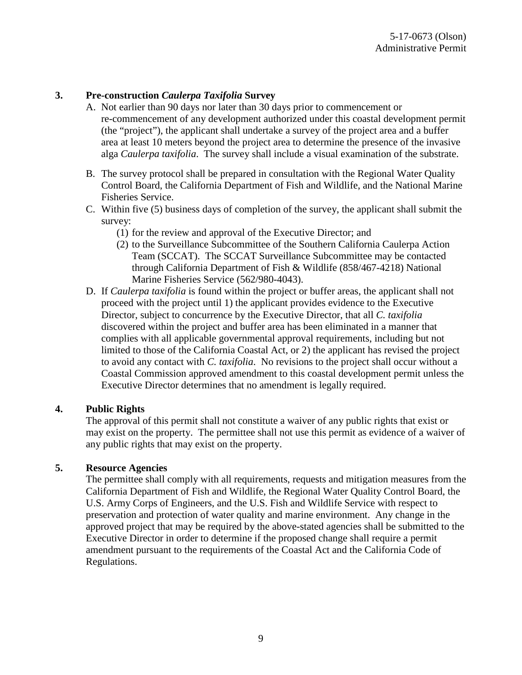#### **3. Pre-construction** *Caulerpa Taxifolia* **Survey**

- A. Not earlier than 90 days nor later than 30 days prior to commencement or re-commencement of any development authorized under this coastal development permit (the "project"), the applicant shall undertake a survey of the project area and a buffer area at least 10 meters beyond the project area to determine the presence of the invasive alga *Caulerpa taxifolia*. The survey shall include a visual examination of the substrate.
- B. The survey protocol shall be prepared in consultation with the Regional Water Quality Control Board, the California Department of Fish and Wildlife, and the National Marine Fisheries Service.
- C. Within five (5) business days of completion of the survey, the applicant shall submit the survey:
	- (1) for the review and approval of the Executive Director; and
	- (2) to the Surveillance Subcommittee of the Southern California Caulerpa Action Team (SCCAT). The SCCAT Surveillance Subcommittee may be contacted through California Department of Fish & Wildlife (858/467-4218) National Marine Fisheries Service (562/980-4043).
- D. If *Caulerpa taxifolia* is found within the project or buffer areas, the applicant shall not proceed with the project until 1) the applicant provides evidence to the Executive Director, subject to concurrence by the Executive Director, that all *C. taxifolia* discovered within the project and buffer area has been eliminated in a manner that complies with all applicable governmental approval requirements, including but not limited to those of the California Coastal Act, or 2) the applicant has revised the project to avoid any contact with *C. taxifolia*. No revisions to the project shall occur without a Coastal Commission approved amendment to this coastal development permit unless the Executive Director determines that no amendment is legally required.

#### **4. Public Rights**

The approval of this permit shall not constitute a waiver of any public rights that exist or may exist on the property. The permittee shall not use this permit as evidence of a waiver of any public rights that may exist on the property.

#### **5. Resource Agencies**

The permittee shall comply with all requirements, requests and mitigation measures from the California Department of Fish and Wildlife, the Regional Water Quality Control Board, the U.S. Army Corps of Engineers, and the U.S. Fish and Wildlife Service with respect to preservation and protection of water quality and marine environment. Any change in the approved project that may be required by the above-stated agencies shall be submitted to the Executive Director in order to determine if the proposed change shall require a permit amendment pursuant to the requirements of the Coastal Act and the California Code of Regulations.